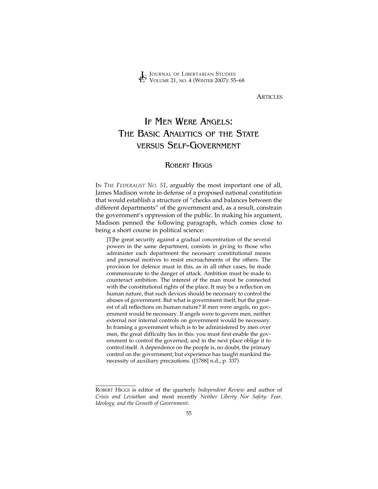## JOURNAL OF LIBERTARIAN STUDIES **JS** JOURNAL OF LIBERTARIAN STUDIES<br>VOLUME 21, NO. 4 (WINTER 2007): 55–68

**ARTICLES** 

# IF MEN WERE ANGELS: THE BASIC ANALYTICS OF THE STATE VERSUS SELF-GOVERNMENT

## ROBERT HIGGS

IN *THE FEDERALIST NO. 51*, arguably the most important one of all, James Madison wrote in defense of a proposed national constitution that would establish a structure of "checks and balances between the different departments" of the government and, as a result, constrain the government's oppression of the public. In making his argument, Madison penned the following paragraph, which comes close to being a short course in political science:

[T]he great security against a gradual concentration of the several powers in the same department, consists in giving to those who administer each department the necessary constitutional means and personal motives to resist encroachments of the others. The provision for defence must in this, as in all other cases, be made commensurate to the danger of attack. Ambition must be made to counteract ambition. The interest of the man must be connected with the constitutional rights of the place. It may be a reflection on human nature, that such devices should be necessary to control the abuses of government. But what is government itself, but the greatest of all reflections on human nature? If men were angels, no government would be necessary. If angels were to govern men, neither external nor internal controls on government would be necessary. In framing a government which is to be administered by men over men, the great difficulty lies in this: you must first enable the government to control the governed; and in the next place oblige it to control itself. A dependence on the people is, no doubt, the primary control on the government; but experience has taught mankind the necessity of auxiliary precautions. ([1788] n.d., p. 337)

ROBERT HIGGS is editor of the quarterly *Independent Review* and author of *Crisis and Leviathan* and most recently *Neither Liberty Nor Safety: Fear, Ideology, and the Growth of Government*.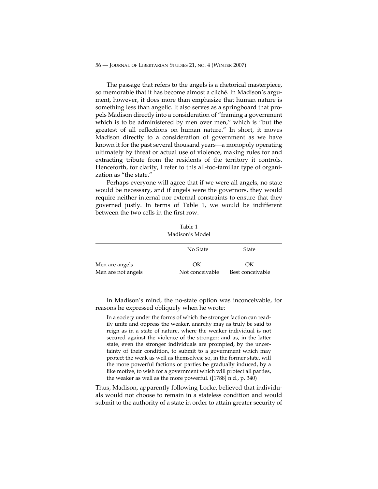The passage that refers to the angels is a rhetorical masterpiece, so memorable that it has become almost a cliché. In Madison's argument, however, it does more than emphasize that human nature is something less than angelic. It also serves as a springboard that propels Madison directly into a consideration of "framing a government which is to be administered by men over men," which is "but the greatest of all reflections on human nature." In short, it moves Madison directly to a consideration of government as we have known it for the past several thousand years—a monopoly operating ultimately by threat or actual use of violence, making rules for and extracting tribute from the residents of the territory it controls. Henceforth, for clarity, I refer to this all-too-familiar type of organization as "the state."

Perhaps everyone will agree that if we were all angels, no state would be necessary, and if angels were the governors, they would require neither internal nor external constraints to ensure that they governed justly. In terms of Table 1, we would be indifferent between the two cells in the first row.

|                    | No State        | State            |  |
|--------------------|-----------------|------------------|--|
| Men are angels     | OK              | ОК               |  |
| Men are not angels | Not conceivable | Best conceivable |  |

Table 1 Madison's Model

In Madison's mind, the no-state option was inconceivable, for reasons he expressed obliquely when he wrote:

In a society under the forms of which the stronger faction can readily unite and oppress the weaker, anarchy may as truly be said to reign as in a state of nature, where the weaker individual is not secured against the violence of the stronger; and as, in the latter state, even the stronger individuals are prompted, by the uncertainty of their condition, to submit to a government which may protect the weak as well as themselves; so, in the former state, will the more powerful factions or parties be gradually induced, by a like motive, to wish for a government which will protect all parties, the weaker as well as the more powerful. ([1788] n.d., p. 340)

Thus, Madison, apparently following Locke, believed that individuals would not choose to remain in a stateless condition and would submit to the authority of a state in order to attain greater security of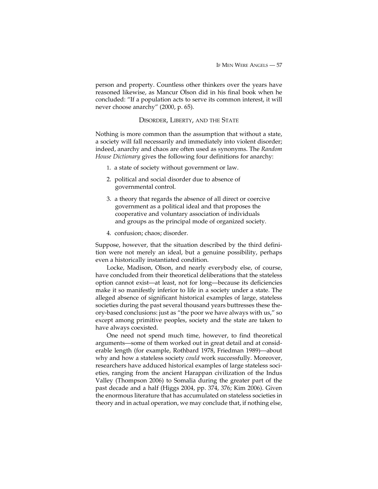person and property. Countless other thinkers over the years have reasoned likewise, as Mancur Olson did in his final book when he concluded: "If a population acts to serve its common interest, it will never choose anarchy" (2000, p. 65).

#### DISORDER, LIBERTY, AND THE STATE

Nothing is more common than the assumption that without a state, a society will fall necessarily and immediately into violent disorder; indeed, anarchy and chaos are often used as synonyms. The *Random House Dictionary* gives the following four definitions for anarchy:

- 1. a state of society without government or law.
- 2. political and social disorder due to absence of governmental control.
- 3. a theory that regards the absence of all direct or coercive government as a political ideal and that proposes the cooperative and voluntary association of individuals and groups as the principal mode of organized society.
- 4. confusion; chaos; disorder.

Suppose, however, that the situation described by the third definition were not merely an ideal, but a genuine possibility, perhaps even a historically instantiated condition.

Locke, Madison, Olson, and nearly everybody else, of course, have concluded from their theoretical deliberations that the stateless option cannot exist—at least, not for long—because its deficiencies make it so manifestly inferior to life in a society under a state. The alleged absence of significant historical examples of large, stateless societies during the past several thousand years buttresses these theory-based conclusions: just as "the poor we have always with us," so except among primitive peoples, society and the state are taken to have always coexisted.

One need not spend much time, however, to find theoretical arguments—some of them worked out in great detail and at considerable length (for example, Rothbard 1978, Friedman 1989)—about why and how a stateless society *could* work successfully. Moreover, researchers have adduced historical examples of large stateless societies, ranging from the ancient Harappan civilization of the Indus Valley (Thompson 2006) to Somalia during the greater part of the past decade and a half (Higgs 2004, pp. 374, 376; Kim 2006). Given the enormous literature that has accumulated on stateless societies in theory and in actual operation, we may conclude that, if nothing else,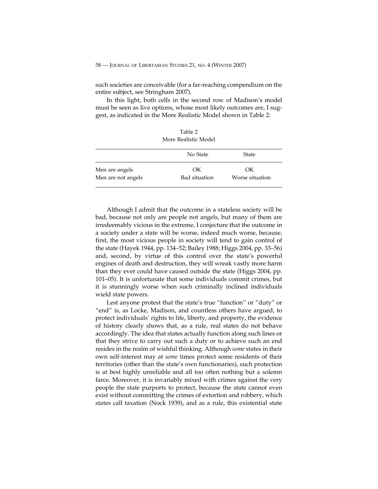such societies are conceivable (for a far-reaching compendium on the entire subject, see Stringham 2007).

In this light, both cells in the second row of Madison's model must be seen as live options, whose most likely outcomes are, I suggest, as indicated in the More Realistic Model shown in Table 2:

| Table 2              |
|----------------------|
| More Realistic Model |

|                    | No State      | State           |
|--------------------|---------------|-----------------|
| Men are angels     | ОК            | OК              |
| Men are not angels | Bad situation | Worse situation |

Although I admit that the outcome in a stateless society will be bad, because not only are people not angels, but many of them are irredeemably vicious in the extreme, I conjecture that the outcome in a society under a state will be worse, indeed much worse, because, first, the most vicious people in society will tend to gain control of the state (Hayek 1944, pp. 134–52; Bailey 1988; Higgs 2004, pp. 33–56) and, second, by virtue of this control over the state's powerful engines of death and destruction, they will wreak vastly more harm than they ever could have caused outside the state (Higgs 2004, pp. 101–05). It is unfortunate that some individuals commit crimes, but it is stunningly worse when such criminally inclined individuals wield state powers.

Lest anyone protest that the state's true "function" or "duty" or "end" is, as Locke, Madison, and countless others have argued, to protect individuals' rights to life, liberty, and property, the evidence of history clearly shows that, as a rule, real states do not behave accordingly. The idea that states actually function along such lines or that they strive to carry out such a duty or to achieve such an end resides in the realm of wishful thinking. Although *some* states in their own self-interest may at *some* times protect some residents of their territories (other than the state's own functionaries), such protection is at best highly unreliable and all too often nothing but a solemn farce. Moreover, it is invariably mixed with crimes against the very people the state purports to protect, because the state cannot even exist without committing the crimes of extortion and robbery, which states call taxation (Nock 1939), and as a rule, this existential state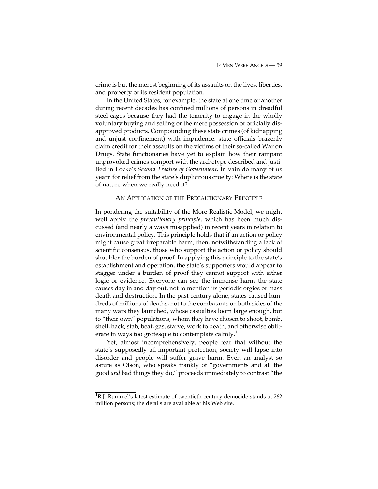crime is but the merest beginning of its assaults on the lives, liberties, and property of its resident population.

In the United States, for example, the state at one time or another during recent decades has confined millions of persons in dreadful steel cages because they had the temerity to engage in the wholly voluntary buying and selling or the mere possession of officially disapproved products. Compounding these state crimes (of kidnapping and unjust confinement) with impudence, state officials brazenly claim credit for their assaults on the victims of their so-called War on Drugs. State functionaries have yet to explain how their rampant unprovoked crimes comport with the archetype described and justified in Locke's *Second Treatise of Government*. In vain do many of us yearn for relief from the state's duplicitous cruelty: Where is the state of nature when we really need it?

### AN APPLICATION OF THE PRECAUTIONARY PRINCIPLE

In pondering the suitability of the More Realistic Model, we might well apply the *precautionary principle*, which has been much discussed (and nearly always misapplied) in recent years in relation to environmental policy. This principle holds that if an action or policy might cause great irreparable harm, then, notwithstanding a lack of scientific consensus, those who support the action or policy should shoulder the burden of proof. In applying this principle to the state's establishment and operation, the state's supporters would appear to stagger under a burden of proof they cannot support with either logic or evidence. Everyone can see the immense harm the state causes day in and day out, not to mention its periodic orgies of mass death and destruction. In the past century alone, states caused hundreds of millions of deaths, not to the combatants on both sides of the many wars they launched, whose casualties loom large enough, but to "their own" populations, whom they have chosen to shoot, bomb, shell, hack, stab, beat, gas, starve, work to death, and otherwise obliterate in ways too grotesque to contemplate calmly.<sup>1</sup>

Yet, almost incomprehensively, people fear that without the state's supposedly all-important protection, society will lapse into disorder and people will suffer grave harm. Even an analyst so astute as Olson, who speaks frankly of "governments and all the good *and* bad things they do," proceeds immediately to contrast "the

<sup>&</sup>lt;sup>1</sup>R.J. Rummel's latest estimate of twentieth-century democide stands at 262 million persons; the details are available at his Web site.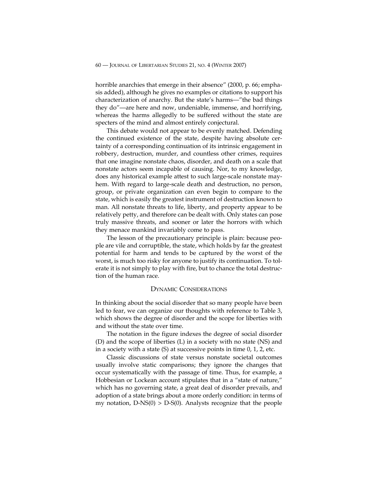horrible anarchies that emerge in their absence" (2000, p. 66; emphasis added), although he gives no examples or citations to support his characterization of anarchy. But the state's harms—"the bad things they do"—are here and now, undeniable, immense, and horrifying, whereas the harms allegedly to be suffered without the state are specters of the mind and almost entirely conjectural.

This debate would not appear to be evenly matched. Defending the continued existence of the state, despite having absolute certainty of a corresponding continuation of its intrinsic engagement in robbery, destruction, murder, and countless other crimes, requires that one imagine nonstate chaos, disorder, and death on a scale that nonstate actors seem incapable of causing. Nor, to my knowledge, does any historical example attest to such large-scale nonstate mayhem. With regard to large-scale death and destruction, no person, group, or private organization can even begin to compare to the state, which is easily the greatest instrument of destruction known to man. All nonstate threats to life, liberty, and property appear to be relatively petty, and therefore can be dealt with. Only states can pose truly massive threats, and sooner or later the horrors with which they menace mankind invariably come to pass.

The lesson of the precautionary principle is plain: because people are vile and corruptible, the state, which holds by far the greatest potential for harm and tends to be captured by the worst of the worst, is much too risky for anyone to justify its continuation. To tolerate it is not simply to play with fire, but to chance the total destruction of the human race.

## DYNAMIC CONSIDERATIONS

In thinking about the social disorder that so many people have been led to fear, we can organize our thoughts with reference to Table 3, which shows the degree of disorder and the scope for liberties with and without the state over time.

The notation in the figure indexes the degree of social disorder (D) and the scope of liberties (L) in a society with no state (NS) and in a society with a state (S) at successive points in time 0, 1, 2, etc.

Classic discussions of state versus nonstate societal outcomes usually involve static comparisons; they ignore the changes that occur systematically with the passage of time. Thus, for example, a Hobbesian or Lockean account stipulates that in a "state of nature," which has no governing state, a great deal of disorder prevails, and adoption of a state brings about a more orderly condition: in terms of my notation, D-NS(0) > D-S(0). Analysts recognize that the people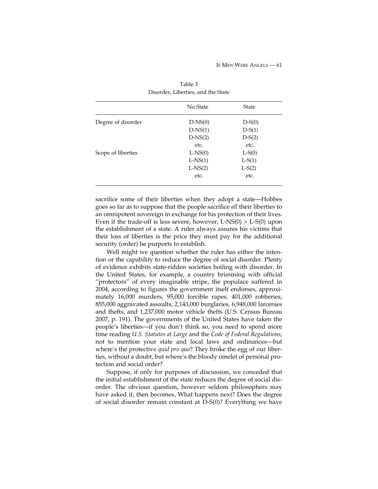|                    | No State  | <b>State</b> |
|--------------------|-----------|--------------|
| Degree of disorder | $D-NS(0)$ | $D-S(0)$     |
|                    | $D-NS(1)$ | $D-S(1)$     |
|                    | $D-NS(2)$ | $D-S(2)$     |
|                    | etc.      | etc.         |
| Scope of liberties | $L-NS(0)$ | $L-S(0)$     |
|                    | $L-NS(1)$ | $L-S(1)$     |
|                    | $L-NS(2)$ | $L-S(2)$     |
|                    | etc.      | etc.         |

Table 3 Disorder, Liberties, and the State

sacrifice some of their liberties when they adopt a state—Hobbes goes so far as to suppose that the people sacrifice *all* their liberties to an omnipotent sovereign in exchange for his protection of their lives. Even if the trade-off is less severe, however,  $L-NS(0) > L-S(0)$  upon the establishment of a state. A ruler always assures his victims that their loss of liberties is the price they must pay for the additional security (order) he purports to establish.

Well might we question whether the ruler has either the intention or the capability to reduce the degree of social disorder. Plenty of evidence exhibits state-ridden societies boiling with disorder. In the United States, for example, a country brimming with official "protectors" of every imaginable stripe, the populace suffered in 2004, according to figures the government itself endorses, approximately 16,000 murders, 95,000 forcible rapes, 401,000 robberies, 855,000 aggravated assaults, 2,143,000 burglaries, 6,948,000 larcenies and thefts, and 1,237,000 motor vehicle thefts (U.S. Census Bureau 2007, p. 191). The governments of the United States have taken the people's liberties—if you don't think so, you need to spend more time reading *U.S. Statutes at Large* and the *Code of Federal Regulations*, not to mention your state and local laws and ordinances—but where's the protective *quid pro quo*? They broke the egg of our liberties, without a doubt, but where's the bloody omelet of personal protection and social order?

Suppose, if only for purposes of discussion, we conceded that the initial establishment of the state reduces the degree of social disorder. The obvious question, however seldom philosophers may have asked it, then becomes, What happens next? Does the degree of social disorder remain constant at D-S(0)? Everything we have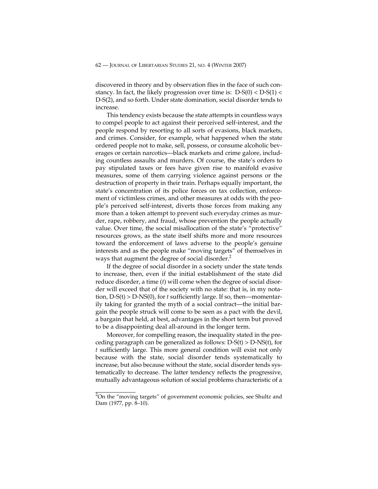discovered in theory and by observation flies in the face of such constancy. In fact, the likely progression over time is: D-S(0) < D-S(1) < D-S(2), and so forth. Under state domination, social disorder tends to increase.

This tendency exists because the state attempts in countless ways to compel people to act against their perceived self-interest, and the people respond by resorting to all sorts of evasions, black markets, and crimes. Consider, for example, what happened when the state ordered people not to make, sell, possess, or consume alcoholic beverages or certain narcotics—black markets and crime galore, including countless assaults and murders. Of course, the state's orders to pay stipulated taxes or fees have given rise to manifold evasive measures, some of them carrying violence against persons or the destruction of property in their train. Perhaps equally important, the state's concentration of its police forces on tax collection, enforcement of victimless crimes, and other measures at odds with the people's perceived self-interest, diverts those forces from making any more than a token attempt to prevent such everyday crimes as murder, rape, robbery, and fraud, whose prevention the people actually value. Over time, the social misallocation of the state's "protective" resources grows, as the state itself shifts more and more resources toward the enforcement of laws adverse to the people's genuine interests and as the people make "moving targets" of themselves in ways that augment the degree of social disorder.<sup>2</sup>

If the degree of social disorder in a society under the state tends to increase, then, even if the initial establishment of the state did reduce disorder, a time (*t*) will come when the degree of social disorder will exceed that of the society with no state: that is, in my notation, D-S(t) > D-NS(0), for *t* sufficiently large. If so, then—momentarily taking for granted the myth of a social contract—the initial bargain the people struck will come to be seen as a pact with the devil, a bargain that held, at best, advantages in the short term but proved to be a disappointing deal all-around in the longer term.

Moreover, for compelling reason, the inequality stated in the preceding paragraph can be generalized as follows:  $D-S(t) > D-NS(t)$ , for *t* sufficiently large. This more general condition will exist not only because with the state, social disorder tends systematically to increase, but also because without the state, social disorder tends systematically to decrease. The latter tendency reflects the progressive, mutually advantageous solution of social problems characteristic of a

 $2$ On the "moving targets" of government economic policies, see Shultz and Dam (1977, pp. 8-10).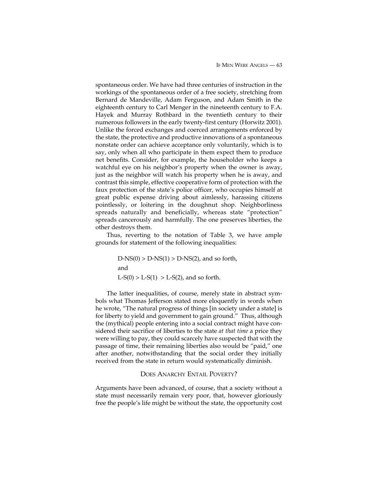spontaneous order. We have had three centuries of instruction in the workings of the spontaneous order of a free society, stretching from Bernard de Mandeville, Adam Ferguson, and Adam Smith in the eighteenth century to Carl Menger in the nineteenth century to F.A. Hayek and Murray Rothbard in the twentieth century to their numerous followers in the early twenty-first century (Horwitz 2001). Unlike the forced exchanges and coerced arrangements enforced by the state, the protective and productive innovations of a spontaneous nonstate order can achieve acceptance only voluntarily, which is to say, only when all who participate in them expect them to produce net benefits. Consider, for example, the householder who keeps a watchful eye on his neighbor's property when the owner is away, just as the neighbor will watch his property when he is away, and contrast this simple, effective cooperative form of protection with the faux protection of the state's police officer, who occupies himself at great public expense driving about aimlessly, harassing citizens pointlessly, or loitering in the doughnut shop. Neighborliness spreads naturally and beneficially, whereas state "protection" spreads cancerously and harmfully. The one preserves liberties, the other destroys them.

Thus, reverting to the notation of Table 3, we have ample grounds for statement of the following inequalities:

> $D-NS(0) > D-NS(1) > D-NS(2)$ , and so forth, and  $L-S(0) > L-S(1) > L-S(2)$ , and so forth.

The latter inequalities, of course, merely state in abstract symbols what Thomas Jefferson stated more eloquently in words when he wrote, "The natural progress of things [in society under a state] is for liberty to yield and government to gain ground." Thus, although the (mythical) people entering into a social contract might have considered their sacrifice of liberties to the state *at that time* a price they were willing to pay, they could scarcely have suspected that with the passage of time, their remaining liberties also would be "paid," one after another, notwithstanding that the social order they initially received from the state in return would systematically diminish.

#### DOES ANARCHY ENTAIL POVERTY?

Arguments have been advanced, of course, that a society without a state must necessarily remain very poor, that, however gloriously free the people's life might be without the state, the opportunity cost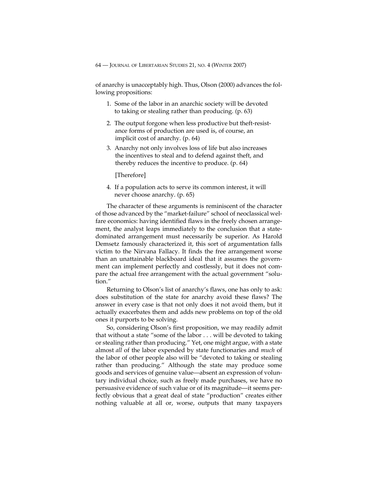of anarchy is unacceptably high. Thus, Olson (2000) advances the following propositions:

- 1. Some of the labor in an anarchic society will be devoted to taking or stealing rather than producing. (p. 63)
- 2. The output forgone when less productive but theft-resistance forms of production are used is, of course, an implicit cost of anarchy. (p. 64)
- 3. Anarchy not only involves loss of life but also increases the incentives to steal and to defend against theft, and thereby reduces the incentive to produce. (p. 64)

[Therefore]

4. If a population acts to serve its common interest, it will never choose anarchy. (p. 65)

The character of these arguments is reminiscent of the character of those advanced by the "market-failure" school of neoclassical welfare economics: having identified flaws in the freely chosen arrangement, the analyst leaps immediately to the conclusion that a statedominated arrangement must necessarily be superior. As Harold Demsetz famously characterized it, this sort of argumentation falls victim to the Nirvana Fallacy. It finds the free arrangement worse than an unattainable blackboard ideal that it assumes the government can implement perfectly and costlessly, but it does not compare the actual free arrangement with the actual government "solution."

Returning to Olson's list of anarchy's flaws, one has only to ask: does substitution of the state for anarchy avoid these flaws? The answer in every case is that not only does it not avoid them, but it actually exacerbates them and adds new problems on top of the old ones it purports to be solving.

So, considering Olson's first proposition, we may readily admit that without a state "some of the labor . . . will be devoted to taking or stealing rather than producing." Yet, one might argue, with a state almost *all* of the labor expended by state functionaries and *much* of the labor of other people also will be "devoted to taking or stealing rather than producing." Although the state may produce some goods and services of genuine value—absent an expression of voluntary individual choice, such as freely made purchases, we have no persuasive evidence of such value or of its magnitude—it seems perfectly obvious that a great deal of state "production" creates either nothing valuable at all or, worse, outputs that many taxpayers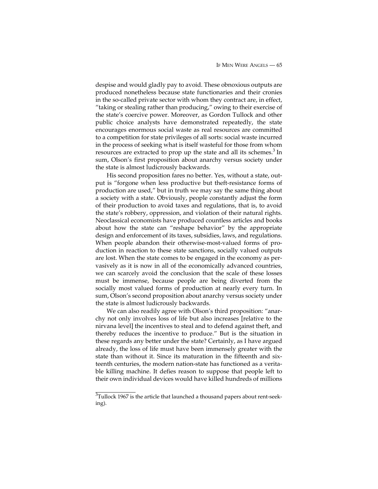despise and would gladly pay to avoid. These obnoxious outputs are produced nonetheless because state functionaries and their cronies in the so-called private sector with whom they contract are, in effect, "taking or stealing rather than producing," owing to their exercise of the state's coercive power. Moreover, as Gordon Tullock and other public choice analysts have demonstrated repeatedly, the state encourages enormous social waste as real resources are committed to a competition for state privileges of all sorts: social waste incurred in the process of seeking what is itself wasteful for those from whom resources are extracted to prop up the state and all its schemes.<sup>3</sup> In sum, Olson's first proposition about anarchy versus society under the state is almost ludicrously backwards.

His second proposition fares no better. Yes, without a state, output is "forgone when less productive but theft-resistance forms of production are used," but in truth we may say the same thing about a society with a state. Obviously, people constantly adjust the form of their production to avoid taxes and regulations, that is, to avoid the state's robbery, oppression, and violation of their natural rights. Neoclassical economists have produced countless articles and books about how the state can "reshape behavior" by the appropriate design and enforcement of its taxes, subsidies, laws, and regulations. When people abandon their otherwise-most-valued forms of production in reaction to these state sanctions, socially valued outputs are lost. When the state comes to be engaged in the economy as pervasively as it is now in all of the economically advanced countries, we can scarcely avoid the conclusion that the scale of these losses must be immense, because people are being diverted from the socially most valued forms of production at nearly every turn. In sum, Olson's second proposition about anarchy versus society under the state is almost ludicrously backwards.

We can also readily agree with Olson's third proposition: "anarchy not only involves loss of life but also increases [relative to the nirvana level] the incentives to steal and to defend against theft, and thereby reduces the incentive to produce." But is the situation in these regards any better under the state? Certainly, as I have argued already, the loss of life must have been immensely greater with the state than without it. Since its maturation in the fifteenth and sixteenth centuries, the modern nation-state has functioned as a veritable killing machine. It defies reason to suppose that people left to their own individual devices would have killed hundreds of millions

 $3$ Tullock 1967 is the article that launched a thousand papers about rent-seeking).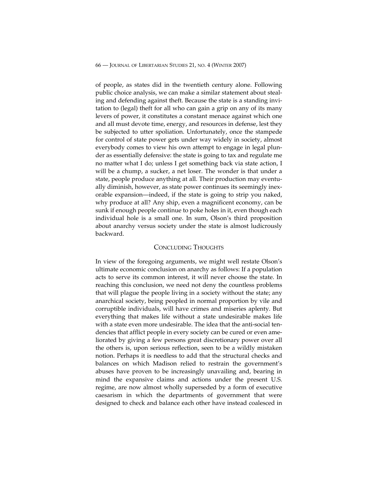of people, as states did in the twentieth century alone. Following public choice analysis, we can make a similar statement about stealing and defending against theft. Because the state is a standing invitation to (legal) theft for all who can gain a grip on any of its many levers of power, it constitutes a constant menace against which one and all must devote time, energy, and resources in defense, lest they be subjected to utter spoliation. Unfortunately, once the stampede for control of state power gets under way widely in society, almost everybody comes to view his own attempt to engage in legal plunder as essentially defensive: the state is going to tax and regulate me no matter what I do; unless I get something back via state action, I will be a chump, a sucker, a net loser. The wonder is that under a state, people produce anything at all. Their production may eventually diminish, however, as state power continues its seemingly inexorable expansion—indeed, if the state is going to strip you naked, why produce at all? Any ship, even a magnificent economy, can be sunk if enough people continue to poke holes in it, even though each individual hole is a small one. In sum, Olson's third proposition about anarchy versus society under the state is almost ludicrously backward.

#### CONCLUDING THOUGHTS

In view of the foregoing arguments, we might well restate Olson's ultimate economic conclusion on anarchy as follows: If a population acts to serve its common interest, it will never choose the state. In reaching this conclusion, we need not deny the countless problems that will plague the people living in a society without the state; any anarchical society, being peopled in normal proportion by vile and corruptible individuals, will have crimes and miseries aplenty. But everything that makes life without a state undesirable makes life with a state even more undesirable. The idea that the anti-social tendencies that afflict people in every society can be cured or even ameliorated by giving a few persons great discretionary power over all the others is, upon serious reflection, seen to be a wildly mistaken notion. Perhaps it is needless to add that the structural checks and balances on which Madison relied to restrain the government's abuses have proven to be increasingly unavailing and, bearing in mind the expansive claims and actions under the present U.S. regime, are now almost wholly superseded by a form of executive caesarism in which the departments of government that were designed to check and balance each other have instead coalesced in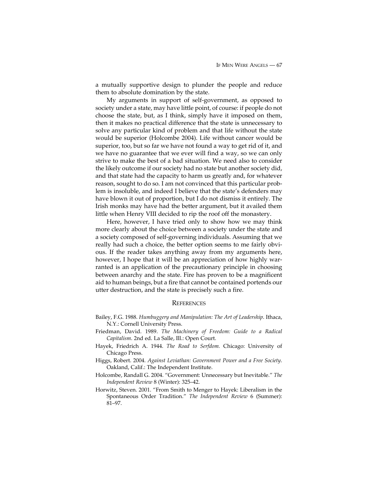a mutually supportive design to plunder the people and reduce them to absolute domination by the state.

My arguments in support of self-government, as opposed to society under a state, may have little point, of course: if people do not choose the state, but, as I think, simply have it imposed on them, then it makes no practical difference that the state is unnecessary to solve any particular kind of problem and that life without the state would be superior (Holcombe 2004). Life without cancer would be superior, too, but so far we have not found a way to get rid of it, and we have no guarantee that we ever will find a way, so we can only strive to make the best of a bad situation. We need also to consider the likely outcome if our society had no state but another society did, and that state had the capacity to harm us greatly and, for whatever reason, sought to do so. I am not convinced that this particular problem is insoluble, and indeed I believe that the state's defenders may have blown it out of proportion, but I do not dismiss it entirely. The Irish monks may have had the better argument, but it availed them little when Henry VIII decided to rip the roof off the monastery.

Here, however, I have tried only to show how we may think more clearly about the choice between a society under the state and a society composed of self-governing individuals. Assuming that we really had such a choice, the better option seems to me fairly obvious. If the reader takes anything away from my arguments here, however, I hope that it will be an appreciation of how highly warranted is an application of the precautionary principle in choosing between anarchy and the state. Fire has proven to be a magnificent aid to human beings, but a fire that cannot be contained portends our utter destruction, and the state is precisely such a fire.

#### **REFERENCES**

- Bailey, F.G. 1988. *Humbuggery and Manipulation: The Art of Leadership*. Ithaca, N.Y.: Cornell University Press.
- Friedman, David. 1989. *The Machinery of Freedom: Guide to a Radical Capitalism*. 2nd ed. La Salle, Ill.: Open Court.
- Hayek, Friedrich A. 1944. *The Road to Serfdom.* Chicago: University of Chicago Press.
- Higgs, Robert. 2004. *Against Leviathan: Government Power and a Free Society*. Oakland, Calif.: The Independent Institute.
- Holcombe, Randall G. 2004. "Government: Unnecessary but Inevitable." *The Independent Review* 8 (Winter): 325–42.
- Horwitz, Steven. 2001. "From Smith to Menger to Hayek: Liberalism in the Spontaneous Order Tradition." *The Independent Review* 6 (Summer): 81–97.